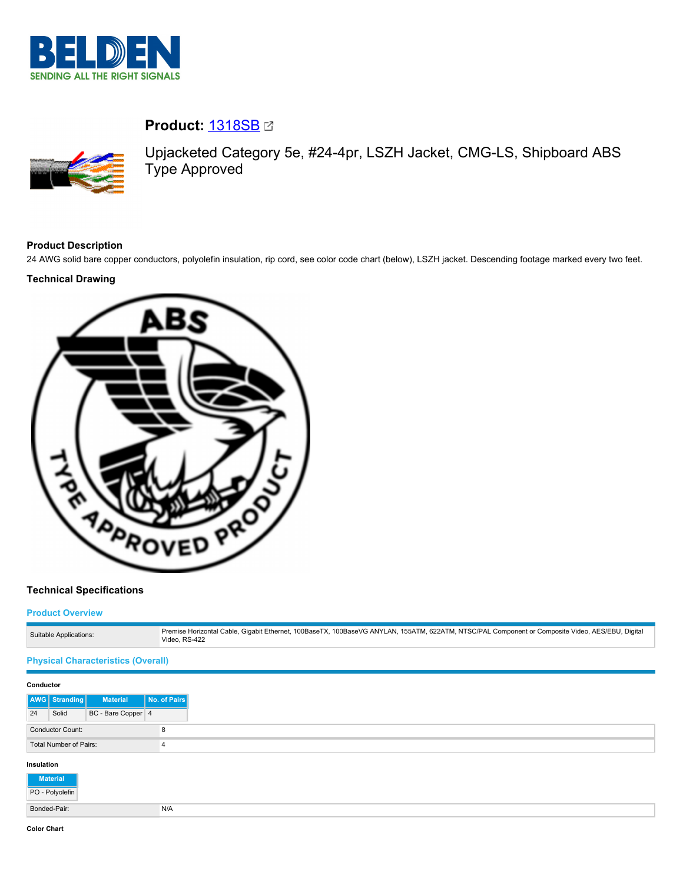

# **Product:** [1318SB](https://catalog.belden.com/index.cfm?event=pd&p=PF_1318SB&tab=downloads)



Upjacketed Category 5e, #24-4pr, LSZH Jacket, CMG-LS, Shipboard ABS Type Approved

# **Product Description**

24 AWG solid bare copper conductors, polyolefin insulation, rip cord, see color code chart (below), LSZH jacket. Descending footage marked every two feet.

# **Technical Drawing**



# **Technical Specifications**

#### **Product Overview**

| Suitable Applications: | Premise Horizontal Cable, Gigabit Ethernet, 100BaseTX, 100BaseVG ANYLAN, 155ATM, 622ATM, NTSC/PAL Component or Composite Video, AES/EBU, Digital<br>Video, RS-422 |
|------------------------|-------------------------------------------------------------------------------------------------------------------------------------------------------------------|

## **Physical Characteristics (Overall)**

| Conductor    |                         |                    |                |
|--------------|-------------------------|--------------------|----------------|
|              | <b>AWG</b> Stranding    | <b>Material</b>    | No. of Pairs   |
| 24           | Solid                   | BC - Bare Copper 4 |                |
|              | <b>Conductor Count:</b> |                    | 8              |
|              | Total Number of Pairs:  |                    | $\overline{4}$ |
| Insulation   |                         |                    |                |
|              | <b>Material</b>         |                    |                |
|              | PO - Polyolefin         |                    |                |
| Bonded-Pair: |                         |                    | N/A            |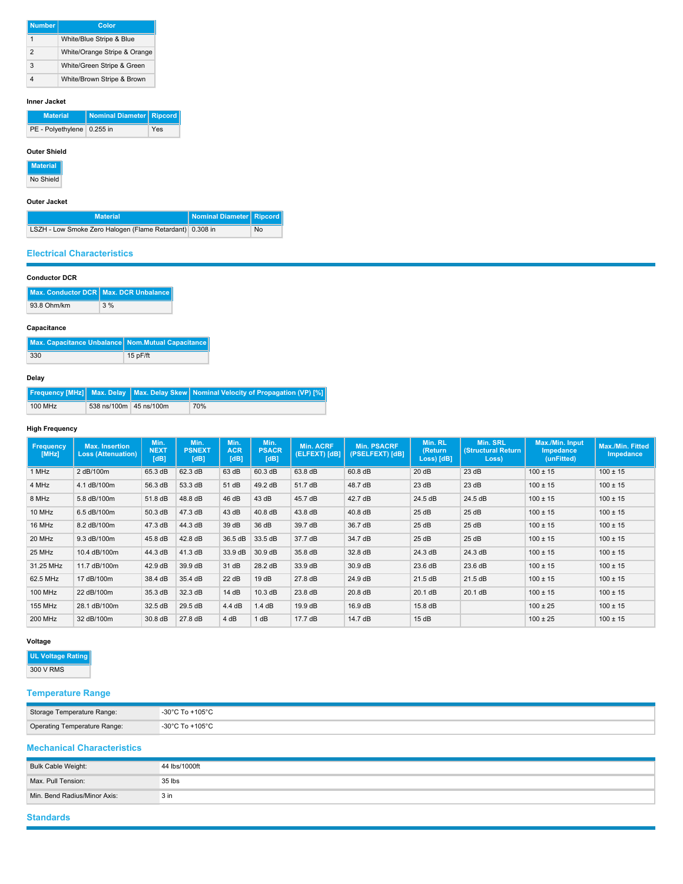| <b>Number</b>  | Color                        |
|----------------|------------------------------|
|                | White/Blue Stripe & Blue     |
| $\overline{2}$ | White/Orange Stripe & Orange |
| 3              | White/Green Stripe & Green   |
|                | White/Brown Stripe & Brown   |

#### **Inner Jacket**

| <b>Material</b>              | Nominal Diameter Ripcord |     |
|------------------------------|--------------------------|-----|
| PE - Polyethylene   0.255 in |                          | Yes |

#### **Outer Shield**

**Material**

No Shield

## **Outer Jacket**

| <b>Material</b>                                          | Nominal Diameter   Ripcord |    |
|----------------------------------------------------------|----------------------------|----|
| LSZH - Low Smoke Zero Halogen (Flame Retardant) 0.308 in |                            | No |

#### **Electrical Characteristics**

| <b>Conductor DCR</b> |  |
|----------------------|--|
|----------------------|--|

|             | Max. Conductor DCR   Max. DCR Unbalance |
|-------------|-----------------------------------------|
| 93.8 Ohm/km | 3%                                      |

# **Capacitance**

| Max. Capacitance Unbalance Nom. Mutual Capacitance |          |
|----------------------------------------------------|----------|
| 330                                                | 15 pF/ft |

#### **Delay**

|         |                          | <b>Frequency [MHz]</b> Max. Delay   Max. Delay Skew   Nominal Velocity of Propagation (VP) [%] |
|---------|--------------------------|------------------------------------------------------------------------------------------------|
| 100 MHz | 538 ns/100m   45 ns/100m | 70%                                                                                            |

# **High Frequency**

| <b>Frequency</b><br>[MHz] | <b>Max. Insertion</b><br><b>Loss (Attenuation)</b> | Min.<br><b>NEXT</b><br>[dB] | Min.<br><b>PSNEXT</b><br>[dB] | Min.<br><b>ACR</b><br>[dB] | Min.<br><b>PSACR</b><br>[dB] | Min. ACRF<br>(ELFEXT) [dB] | <b>Min. PSACRF</b><br>(PSELFEXT) [dB] | Min. RL<br>(Return<br>Loss) [dB] | Min. SRL<br><b>(Structural Return</b><br>Loss) | Max./Min. Input<br><b>Impedance</b><br>(unFitted) | Max./Min. Fitted<br>Impedance |
|---------------------------|----------------------------------------------------|-----------------------------|-------------------------------|----------------------------|------------------------------|----------------------------|---------------------------------------|----------------------------------|------------------------------------------------|---------------------------------------------------|-------------------------------|
| 1 MHz                     | 2 dB/100m                                          | 65.3 dB                     | 62.3 dB                       | 63 dB                      | 60.3 dB                      | 63.8 dB                    | 60.8 dB                               | 20 dB                            | 23 dB                                          | $100 \pm 15$                                      | $100 \pm 15$                  |
| 4 MHz                     | 4.1 dB/100m                                        | 56.3 dB                     | 53.3 dB                       | 51 dB                      | 49.2 dB                      | 51.7 dB                    | 48.7 dB                               | 23 dB                            | 23 dB                                          | $100 \pm 15$                                      | $100 \pm 15$                  |
| 8 MHz                     | 5.8 dB/100m                                        | 51.8 dB                     | 48.8 dB                       | 46 dB                      | 43 dB                        | 45.7 dB                    | 42.7 dB                               | 24.5 dB                          | 24.5 dB                                        | $100 \pm 15$                                      | $100 \pm 15$                  |
| 10 MHz                    | 6.5 dB/100m                                        | 50.3 dB                     | 47.3 dB                       | 43 dB                      | $40.8$ dB                    | 43.8 dB                    | 40.8 dB                               | 25 dB                            | 25 dB                                          | $100 \pm 15$                                      | $100 \pm 15$                  |
| 16 MHz                    | 8.2 dB/100m                                        | 47.3 dB                     | 44.3 dB                       | 39 dB                      | 36 dB                        | 39.7 dB                    | 36.7 dB                               | 25dB                             | 25dB                                           | $100 \pm 15$                                      | $100 \pm 15$                  |
| 20 MHz                    | 9.3 dB/100m                                        | 45.8 dB                     | 42.8 dB                       | 36.5 dB                    | 33.5 dB                      | 37.7 dB                    | 34.7 dB                               | 25 dB                            | 25 dB                                          | $100 \pm 15$                                      | $100 \pm 15$                  |
| 25 MHz                    | 10.4 dB/100m                                       | 44.3 dB                     | 41.3 dB                       | 33.9 dB                    | 30.9 dB                      | 35.8 dB                    | 32.8 dB                               | 24.3 dB                          | 24.3 dB                                        | $100 \pm 15$                                      | $100 \pm 15$                  |
| 31.25 MHz                 | 11.7 dB/100m                                       | 42.9 dB                     | 39.9 dB                       | 31 dB                      | 28.2 dB                      | 33.9 dB                    | 30.9 dB                               | 23.6 dB                          | 23.6 dB                                        | $100 \pm 15$                                      | $100 \pm 15$                  |
| 62.5 MHz                  | 17 dB/100m                                         | 38.4 dB                     | 35.4 dB                       | 22 dB                      | 19dB                         | 27.8 dB                    | 24.9 dB                               | 21.5 dB                          | 21.5 dB                                        | $100 \pm 15$                                      | $100 \pm 15$                  |
| 100 MHz                   | 22 dB/100m                                         | 35.3 dB                     | 32.3 dB                       | 14 dB                      | 10.3 dB                      | 23.8 dB                    | 20.8 dB                               | 20.1 dB                          | 20.1 dB                                        | $100 \pm 15$                                      | $100 \pm 15$                  |
| <b>155 MHz</b>            | 28.1 dB/100m                                       | 32.5 dB                     | 29.5 dB                       | 4.4 dB                     | 1.4 dB                       | 19.9 dB                    | 16.9 dB                               | 15.8 dB                          |                                                | $100 \pm 25$                                      | $100 \pm 15$                  |
| 200 MHz                   | 32 dB/100m                                         | 30.8 dB                     | 27.8 dB                       | 4 dB                       | 1 dB                         | 17.7 dB                    | 14.7 dB                               | 15dB                             |                                                | $100 \pm 25$                                      | $100 \pm 15$                  |

## **Voltage**

**UL Voltage Rating** 300 V RMS

# **Temperature Range**

| Storage Temperature Range:   | -30°C To +105°C |
|------------------------------|-----------------|
| Operating Temperature Range: | -30°C To +105°C |

## **Mechanical Characteristics**

| Bulk Cable Weight:           | 44 lbs/1000ft   |
|------------------------------|-----------------|
| Max, Pull Tension:           | 35 lbs          |
| Min. Bend Radius/Minor Axis: | 3 <sub>in</sub> |

# **Standards**